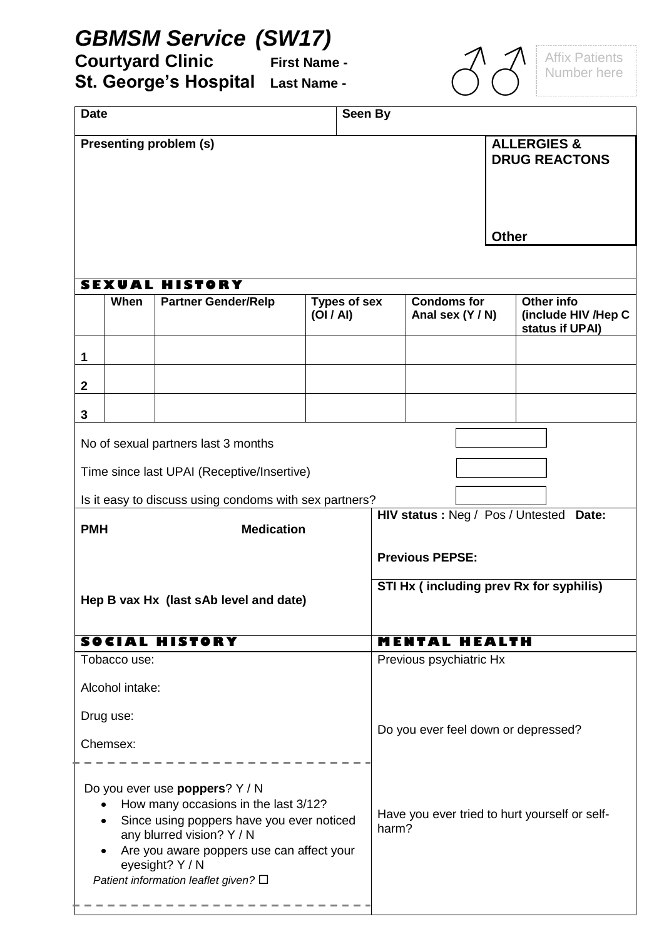## *GBMSM Service (SW17)*

**Courtyard Clinic First Name - St. George's Hospital Last Name -**

Affix Patients<br>Number here

| Seen By<br><b>Date</b>                                                                                                                                                                                                                                                                  |                 |                                                        |                                  |  |                                                        |                                                |                                                      |  |
|-----------------------------------------------------------------------------------------------------------------------------------------------------------------------------------------------------------------------------------------------------------------------------------------|-----------------|--------------------------------------------------------|----------------------------------|--|--------------------------------------------------------|------------------------------------------------|------------------------------------------------------|--|
|                                                                                                                                                                                                                                                                                         |                 | <b>Presenting problem (s)</b>                          |                                  |  |                                                        | <b>ALLERGIES &amp;</b><br><b>DRUG REACTONS</b> |                                                      |  |
|                                                                                                                                                                                                                                                                                         |                 |                                                        |                                  |  |                                                        | <b>Other</b>                                   |                                                      |  |
|                                                                                                                                                                                                                                                                                         |                 |                                                        |                                  |  |                                                        |                                                |                                                      |  |
|                                                                                                                                                                                                                                                                                         |                 | <b>SEXUAL HISTORY</b>                                  |                                  |  |                                                        |                                                |                                                      |  |
|                                                                                                                                                                                                                                                                                         | When            | <b>Partner Gender/Relp</b>                             | <b>Types of sex</b><br>(OI/AI)   |  | <b>Condoms for</b><br>Anal sex (Y / N)                 |                                                | Other info<br>(include HIV /Hep C<br>status if UPAI) |  |
| $\mathbf{1}$                                                                                                                                                                                                                                                                            |                 |                                                        |                                  |  |                                                        |                                                |                                                      |  |
| $\mathbf{2}$                                                                                                                                                                                                                                                                            |                 |                                                        |                                  |  |                                                        |                                                |                                                      |  |
| $\mathbf{3}$                                                                                                                                                                                                                                                                            |                 |                                                        |                                  |  |                                                        |                                                |                                                      |  |
|                                                                                                                                                                                                                                                                                         |                 | No of sexual partners last 3 months                    |                                  |  |                                                        |                                                |                                                      |  |
|                                                                                                                                                                                                                                                                                         |                 | Time since last UPAI (Receptive/Insertive)             |                                  |  |                                                        |                                                |                                                      |  |
|                                                                                                                                                                                                                                                                                         |                 | Is it easy to discuss using condoms with sex partners? |                                  |  |                                                        |                                                |                                                      |  |
| <b>Medication</b><br><b>PMH</b>                                                                                                                                                                                                                                                         |                 |                                                        | HIV status: Neg / Pos / Untested |  | Date:                                                  |                                                |                                                      |  |
|                                                                                                                                                                                                                                                                                         |                 |                                                        |                                  |  | <b>Previous PEPSE:</b>                                 |                                                |                                                      |  |
| Hep B vax Hx (last sAb level and date)                                                                                                                                                                                                                                                  |                 |                                                        |                                  |  | STI Hx (including prev Rx for syphilis)                |                                                |                                                      |  |
|                                                                                                                                                                                                                                                                                         |                 | SOCIAL HISTORY                                         |                                  |  | <b>MENTAL HEALTH</b>                                   |                                                |                                                      |  |
|                                                                                                                                                                                                                                                                                         | Tobacco use:    |                                                        |                                  |  | Previous psychiatric Hx                                |                                                |                                                      |  |
|                                                                                                                                                                                                                                                                                         | Alcohol intake: |                                                        |                                  |  |                                                        |                                                |                                                      |  |
| Drug use:                                                                                                                                                                                                                                                                               |                 |                                                        |                                  |  | Do you ever feel down or depressed?                    |                                                |                                                      |  |
| Chemsex:                                                                                                                                                                                                                                                                                |                 |                                                        |                                  |  |                                                        |                                                |                                                      |  |
| Do you ever use poppers? Y / N<br>How many occasions in the last 3/12?<br>$\bullet$<br>Since using poppers have you ever noticed<br>٠<br>any blurred vision? Y / N<br>Are you aware poppers use can affect your<br>$\bullet$<br>eyesight? Y / N<br>Patient information leaflet given? □ |                 |                                                        |                                  |  | Have you ever tried to hurt yourself or self-<br>harm? |                                                |                                                      |  |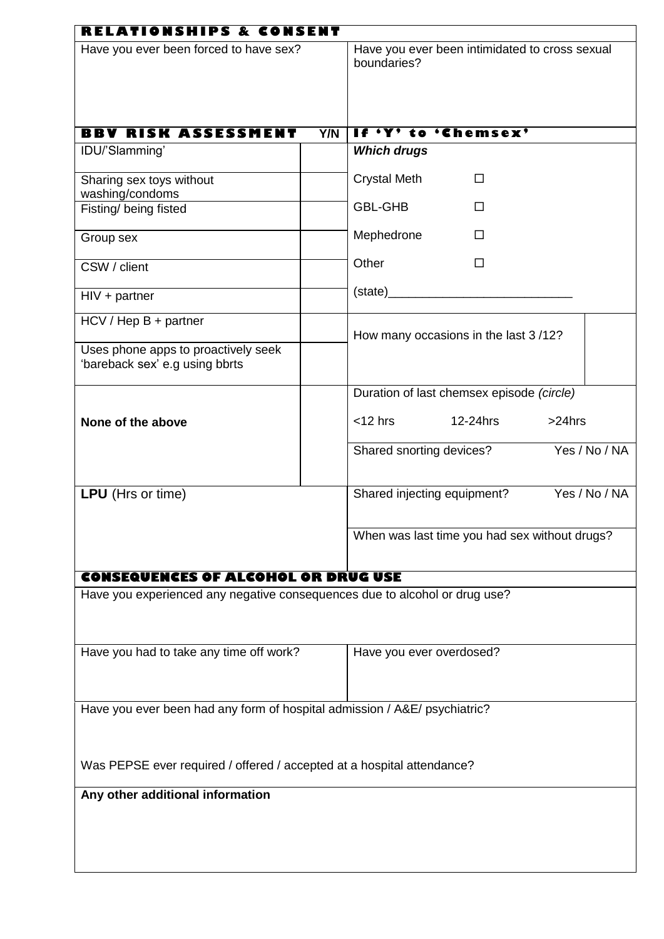| RELATIONSHIPS & CONSENT                                                    |            |                                                               |  |  |  |  |
|----------------------------------------------------------------------------|------------|---------------------------------------------------------------|--|--|--|--|
| Have you ever been forced to have sex?                                     |            | Have you ever been intimidated to cross sexual<br>boundaries? |  |  |  |  |
|                                                                            |            |                                                               |  |  |  |  |
| <b>BBV RISK ASSESSMENT</b>                                                 | <b>Y/N</b> | If 'Y' to 'Chemsex'                                           |  |  |  |  |
| IDU/'Slamming'                                                             |            | <b>Which drugs</b>                                            |  |  |  |  |
| Sharing sex toys without                                                   |            | <b>Crystal Meth</b><br>□                                      |  |  |  |  |
| washing/condoms                                                            |            |                                                               |  |  |  |  |
| Fisting/ being fisted                                                      |            | <b>GBL-GHB</b><br>П                                           |  |  |  |  |
| Group sex                                                                  |            | Mephedrone<br>П                                               |  |  |  |  |
| CSW / client                                                               |            | Other<br>$\Box$                                               |  |  |  |  |
| $HIV + partner$                                                            |            |                                                               |  |  |  |  |
| $HCV / Hep B + partner$                                                    |            | How many occasions in the last 3/12?                          |  |  |  |  |
| Uses phone apps to proactively seek<br>'bareback sex' e.g using bbrts      |            |                                                               |  |  |  |  |
|                                                                            |            | Duration of last chemsex episode (circle)                     |  |  |  |  |
| None of the above                                                          |            | $<$ 12 hrs<br>12-24hrs<br>$>24$ hrs                           |  |  |  |  |
|                                                                            |            | Yes / No / NA<br>Shared snorting devices?                     |  |  |  |  |
| LPU (Hrs or time)                                                          |            | Yes / No / NA<br>Shared injecting equipment?                  |  |  |  |  |
|                                                                            |            | When was last time you had sex without drugs?                 |  |  |  |  |
| <b>CONSEQUENCES OF ALCOHOL OR DRUG USE</b>                                 |            |                                                               |  |  |  |  |
| Have you experienced any negative consequences due to alcohol or drug use? |            |                                                               |  |  |  |  |
| Have you had to take any time off work?                                    |            | Have you ever overdosed?                                      |  |  |  |  |
| Have you ever been had any form of hospital admission / A&E/ psychiatric?  |            |                                                               |  |  |  |  |
| Was PEPSE ever required / offered / accepted at a hospital attendance?     |            |                                                               |  |  |  |  |
| Any other additional information                                           |            |                                                               |  |  |  |  |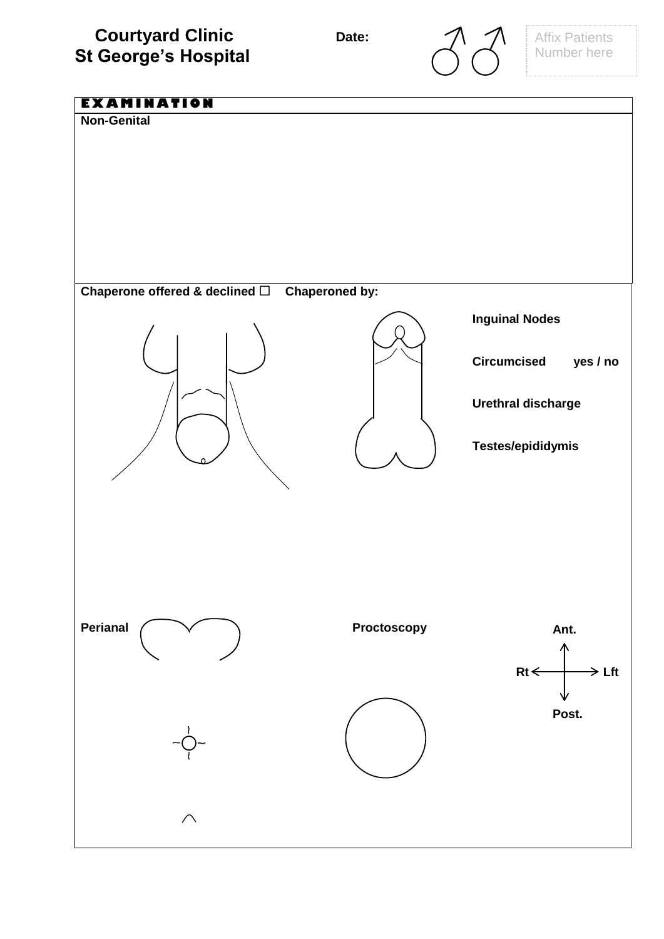